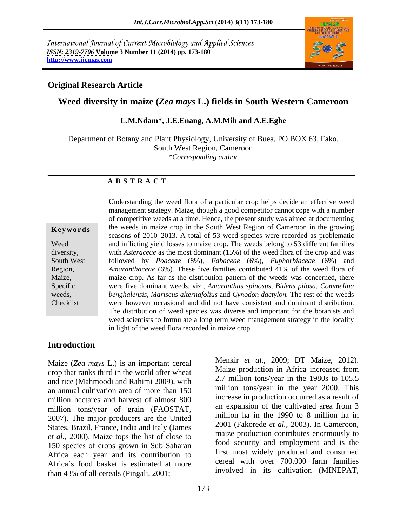International Journal of Current Microbiology and Applied Sciences *ISSN: 2319-7706* **Volume 3 Number 11 (2014) pp. 173-180 <http://www.ijcmas.com>**



### **Original Research Article**

# **Weed diversity in maize (***Zea mays* **L.) fields in South Western Cameroon**

## **L.M.Ndam\*, J.E.Enang, A.M.Mih and A.E.Egbe**

Department of Botany and Plant Physiology, University of Buea, PO BOX 63, Fako, South West Region, Cameroon *\*Corresponding author*

### **A B S T R A C T**

**Keywords** the weeds in maize crop in the South West Region of Cameroon in the growing Weed and inflicting yield losses to maize crop. The weeds belong to 53 different families diversity, with *Asteraceae* as the most dominant (15%) of the weed flora of the crop and was South West followed by *Poaceae* (8%), *Fabaceae* (6%)*, Euphorbiaceae* (6%) and Region, *Amaranthaceae* (6%). These five families contributed 41% of the weed flora of maize crop. As far as the distribution pattern of the weeds was concerned, there Specific were five dominant weeds, viz.,*Amaranthus spinosus, Bidens pilosa, Commelina* weeds, *benghalensis, Mariscus alternafolius* and *Cynodon dactylon.* The rest of the weeds Checklist were however occasional and did not have consistent and dominant distribution. Understanding the weed flora of a particular crop helps decide an effective weed management strategy. Maize, though a good competitor cannot cope with a number of competitive weeds at a time. Hence, the present study was aimed at documenting seasons of 2010–2013. A total of 53 weed species were recorded as problematic *Amaranthaceae* (6%)*.* These five families contributed 41% of the weed flora of The distribution of weed species was diverse and important for the botanists and weed scientists to formulate a long term weed management strategy in the locality in light of the weed flora recorded in maize crop.

# **Introduction**

Maize (*Zea mays* L.) is an important cereal crop that ranks third in the world after wheat and rice (Mahmoodi and Rahimi 2009), with an annual cultivation area of more than 150 million hectares and harvest of almost 800 million control as a result of million tone/year of grain (EAOSTAT an expansion of the cultivated area from 3 million tons/year of grain (FAOSTAT, 2007). The major producers are the United States, Brazil, France, India and Italy (James *et al.,* 2000). Maize tops the list of close to 150 species of crops grown in Sub Saharan Africa each year and its contribution to the set widely produced and consumed<br>Africa's food bostet is estimated at more cereal with over 700,000 farm families Africa`s food basket is estimated at more than 43% of all cereals (Pingali, 2001;

Menkir *et al.,* 2009; DT Maize, 2012). Maize production in Africa increased from 2.7 million tons/year in the 1980s to 105.5 million tons/year in the year 2000. This increase in production occurred as a result of an expansion of the cultivated area from 3 million ha in the 1990 to 8 million ha in 2001 (Fakorede *et al.,* 2003). In Cameroon, maize production contributes enormously to food security and employment and is the first most widely produced and consumed cereal with over 700.000 farm families involved in its cultivation (MINEPAT,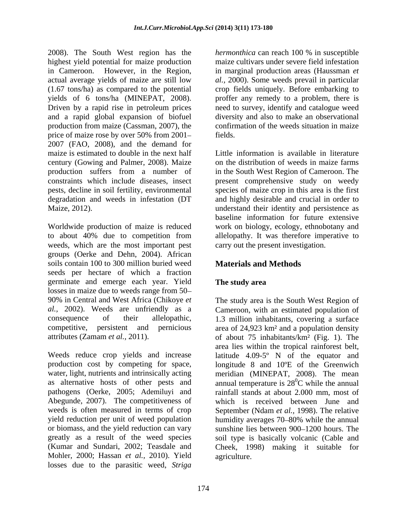2008). The South West region has the highest yield potential for maize production in Cameroon. However, in the Region, in marginal production areas (Haussman *et*  actual average yields of maize are still low *al.,* 2000). Some weeds prevail in particular (1.67 tons/ha) as compared to the potential crop fields uniquely. Before embarking to yields of 6 tons/ha (MINEPAT, 2008). proffer any remedy to a problem, there is Driven by a rapid rise in petroleum prices need to survey, identify and catalogue weed and a rapid global expansion of biofuel production from maize (Cassman, 2007), the price of maize rose by over 50% from 2001– fields. 2007 (FAO, 2008), and the demand for maize is estimated to double in the next half Little information is available in literature century (Gowing and Palmer, 2008). Maize production suffers from a number of in the South West Region of Cameroon. The constraints which include diseases, insect present comprehensive study on weedy pests, decline in soil fertility, environmental species of maize crop in this area is the first degradation and weeds in infestation (DT and highly desirable and crucial in order to

weeds, which are the most important pest groups (Oerke and Dehn, 2004). African soils contain 100 to 300 million buried weed seeds per hectare of which a fraction germinate and emerge each year. Yield losses in maize due to weeds range from 50

pathogens (Oerke, 2005; Ademiluyi and Abegunde, 2007). The competitiveness of greatly as a result of the weed species Mohler, 2000; Hassan *et al.,* 2010). Yield losses due to the parasitic weed, *Striga* 

*hermonthica* can reach 100 % in susceptible maize cultivars under severe field infestation diversity and also to make an observational confirmation of the weeds situation in maize fields.

Maize, 2012). understand their identity and persistence as Worldwide production of maize is reduced work on biology, ecology, ethnobotany and to about 40% due to competition from allelopathy. It was therefore imperative to on the distribution of weeds in maize farms baseline information for future extensive carry out the present investigation.

# **Materials and Methods**

# **The study area**

90% in Central and West Africa (Chikoye *et*  The study area is the South West Region of *al.,* 2002). Weeds are unfriendly as a Cameroon, with an estimated population of consequence of their allelopathic, 1.3 million inhabitants, covering a surface competitive, persistent and pernicious area of 24,923 km² and a population density attributes (Zamam *et al.,* 2011). of about 75 inhabitants/km² (Fig. 1). The Weeds reduce crop yields and increase latitude 4.09-5° N of the equator and production cost by competing for space, longitude 8 and 10ºE of the Greenwich water, light, nutrients and intrinsically acting meridian (MINEPAT, 2008). The mean as alternative hosts of other pests and annual temperature is  $28^{\circ}$ C while the annual weeds is often measured in terms of crop September (Ndam *et al.,* 1998). The relative yield reduction per unit of weed population humidity averages 70–80% while the annual or biomass, and the yield reduction can vary sunshine lies between 900–1200 hours. The (Kumar and Sundari, 2002; Teasdale and Cheek, 1998) making it suitable for area lies within the tropical rainforest belt,  ${}^{0}C$  while the annual rainfall stands at about 2.000 mm, most of which is received between June and soil type is basically volcanic (Cable and agriculture.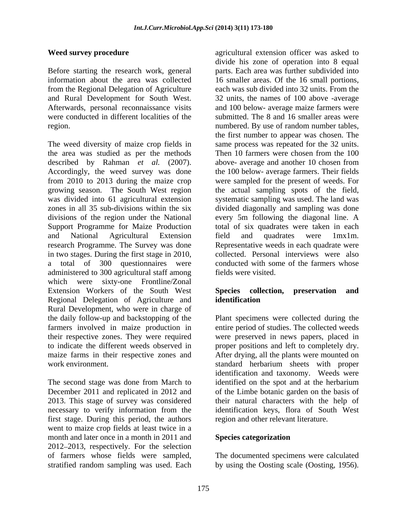Before starting the research work, general from the Regional Delegation of Agriculture

The weed diversity of maize crop fields in the area was studied as per the methods Then 10 farmers were chosen from the 100 described by Rahman *et al.* (2007). Accordingly, the weed survey was done the 100 below- average farmers. Their fields from 2010 to 2013 during the maize crop were sampled for the present of weeds. For growing season. The South West region the actual sampling spots of the field, was divided into 61 agricultural extension systematic sampling was used. The land was zones in all 35 sub-divisions within the six divided diagonally and sampling was done divisions of the region under the National every 5m following the diagonal line. A Support Programme for Maize Production total of six quadrates were taken in each and National Agricultural Extension field and quadrates were 1mx1m. research Programme. The Survey was done Representative weeds in each quadrate were in two stages. During the first stage in 2010, a total of 300 questionnaires were administered to 300 agricultural staff among which were sixty-one Frontline/Zonal Extension Workers of the South West Species collection, preservation and Regional Delegation of Agriculture and Rural Development, who were in charge of the daily follow-up and backstopping of the the daily follow-up and backstopping of the Plant specimens were collected during the farmers involved in maize production in entire period of studies. The collected weeds their respective zones. They were required were preserved in news papers, placed in to indicate the different weeds observed in proper positions and left to completely dry. maize farms in their respective zones and After drying, all the plants were mounted on

The second stage was done from March to first stage. During this period, the authors went to maize crop fields at least twice in a month and later once in a month in 2011 and 2012 2013, respectively. For the selection of farmers whose fields were sampled, The documented specimens were calculated

**Weed survey procedure agricultural extension officer was asked to**  $\alpha$ information about the area was collected 16 smaller areas. Of the 16 small portions, and Rural Development for South West. 32 units, the names of 100 above -average Afterwards, personal reconnaissance visits and 100 below- average maize farmers were were conducted in different localities of the submitted. The 8 and 16 smaller areas were region. numbered. By use of random number tables, divide his zone of operation into 8 equal parts. Each area was further subdivided into each was sub divided into 32 units. From the the first number to appear was chosen. The same process was repeated for the 32 units. Then 10 farmers were chosen from the 100 above- average and another 10 chosen from field and quadrates were 1mx1m. collected. Personal interviews were also conducted with some of the farmers whose fields were visited.

# **Species collection, preservation and identification**

work environment. standard herbarium sheets with proper December 2011 and replicated in 2012 and of the Limbe botanic garden on the basis of 2013. This stage of survey was considered their natural characters with the help of necessary to verify information from the identification keys, flora of South West identification and taxonomy. Weeds were identified on the spot and at the herbarium region and other relevant literature.

# **Species categorization**

stratified random sampling was used. Each by using the Oosting scale (Oosting, 1956).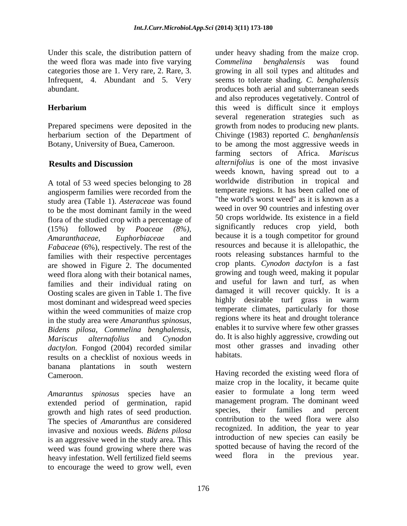Under this scale, the distribution pattern of under heavy shading from the maize crop. the weed flora was made into five varying Commelina benghalensis was found

A total of 53 weed species belonging to 28 angiosperm families were recorded from the study area (Table 1). *Asteraceae* was found to be the most dominant family in the weed flora of the studied crop with a percentage of *Fabaceae* (6%), respectively. The rest of the families with their respective percentages are showed in Figure 2. The documented weed flora along with their botanical names, families and their individual rating on Oosting scales are given in Table 1. The five damaged it will recover quickly. It is a most dominant and widespread weed species highly desirable turf grass in warm most dominant and widespread weed species within the weed communities of maize crop in the study area were *Amaranthus spinosus, Bidens pilosa, Commelina benghalensis,* dactylon. Fongod (2004) recorded similar most of results on a checklist of novious weeds in habitats. results on a checklist of noxious weeds in banana plantations in south western Cameroon. Having recorded the existing weed flora of

extended period of germination, rapid management program. The dominant weed<br>
growth and high rates of seed production species, their families and percent growth and high rates of seed production. The species of *Amaranthus* are considered invasive and noxious weeds. *Bidens pilosa* is an aggressive weed in the study area. This weed was found growing where there was spotted because of having the record of the<br>heavy infectation Well fertilized field seems weed flora in the previous year. heavy infestation. Well fertilized field seems to encourage the weed to grow well, even

categories those are 1. Very rare, 2. Rare, 3. growing in all soil types and altitudes and Infrequent, 4. Abundant and 5. Very seems to tolerate shading. *C. benghalensis* abundant. produces both aerial and subterranean seeds **Herbarium this weed is difficult since it employs** Prepared specimens were deposited in the growth from nodes to producing new plants. herbarium section of the Department of Chivinge (1983) reported *C. benghanlensis* Botany, University of Buea, Cameroon. to be among the most aggressive weeds in **Results and Discussion** *alternifolius* is one of the most invasive (15%) followed by *Poaceae (8%),* significantly reduces crop yield, both *Amaranthaceae, Euphorbiaceae* and because it is a tough competitor for ground *Mariscus alternafolius* and *Cynodon Commelina benghalensis* was found and also reproduces vegetatively. Control of several regeneration strategies such as farming sectors of Africa. *Mariscus*  weeds known, having spread out to a worldwide distribution in tropical and temperate regions. It has been called one of "the world's worst weed" as it is known as a weed in over 90 countries and infesting over 50 crops worldwide. Its existence in a field resources and because it is allelopathic, the roots releasing substances harmful to the crop plants. *Cynodon dactylon* is a fast growing and tough weed, making it popular and useful for lawn and turf, as when damaged it will recover quickly. It is a highly desirable turf grass in warm temperate climates, particularly for those regions where its heat and drought tolerance enables it to survive where few other grasses do. It is also highly aggressive, crowding out most other grasses and invading other habitats.

*Amarantus spinosus* species have an easier to formulate a long term weed maize crop in the locality, it became quite management program. The dominant weed species, their families and percent contribution to the weed flora were also recognized. In addition, the year to year introduction of new species can easily be spotted because of having the record of the weed flora in the previous year.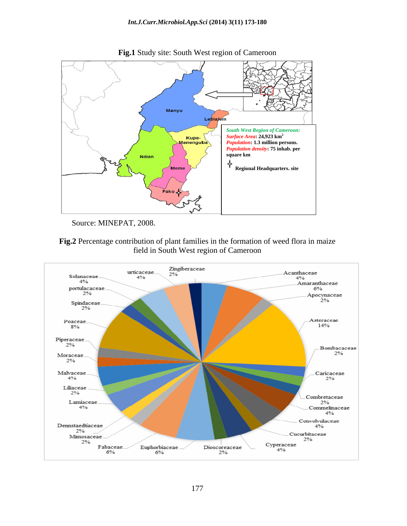



Source: MINEPAT, 2008.



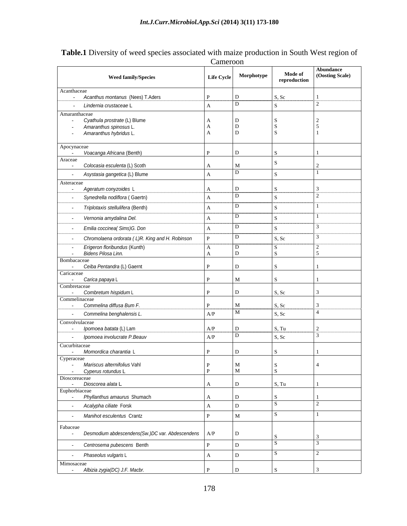|                                                                                 | Cameroon                     |                       |                         |                              |
|---------------------------------------------------------------------------------|------------------------------|-----------------------|-------------------------|------------------------------|
| <b>Weed family/Species</b>                                                      |                              | Life Cycle Morphotype | Mode of<br>reproduction | Abundance<br>(Oosting Scale) |
| Acanthaceae<br>- Acanthus montanus (Nees) T.Aders                               |                              |                       |                         |                              |
| - Lindernia crustaceae L                                                        |                              |                       |                         |                              |
| Amaranthaceae                                                                   |                              |                       |                         |                              |
| - Cyathula prostrate (L) Blume<br>Amaranthus spinosus L.                        |                              |                       |                         |                              |
| - Amaranthus hybridus L.                                                        |                              |                       |                         |                              |
| Apocynaceae<br>- Voacanga Africana (Benth)                                      |                              |                       |                         |                              |
| Araceae                                                                         |                              |                       |                         |                              |
| Colocasia esculenta (L) Scoth                                                   |                              |                       |                         |                              |
| Asystasia gangetica (L) Blume                                                   |                              |                       |                         |                              |
| Asteraceae<br>- Ageratum conyzoides L                                           |                              |                       |                         |                              |
| - Synedrella nodiflora (Gaertn)                                                 |                              |                       |                         |                              |
| Triplotaxis stellulifera (Benth)                                                |                              |                       |                         |                              |
| Vernonia amydalina Del.                                                         |                              |                       |                         |                              |
| Emilia coccinea (Sims) G. Don                                                   |                              |                       |                         |                              |
| - Chromolaena ordorata (L)R. King and H. Robinson                               |                              |                       | S, Sc                   |                              |
|                                                                                 |                              |                       |                         |                              |
| - Erigeron floribundus (Kunth)<br>- Bidens Pilosa Linn.                         |                              |                       |                         |                              |
| Bombacaceae<br>- Ceiba Pentandra (L) Gaernt                                     |                              |                       |                         |                              |
| Caricaceae                                                                      |                              |                       |                         |                              |
| - Carica papaya L<br>Combretaceae                                               |                              |                       |                         |                              |
| - Combretum hispidum L                                                          |                              |                       | S, Sc                   |                              |
| Commelinaceae                                                                   |                              |                       |                         |                              |
| - Commelina diffusa Bum F.<br>- Commelina benghalensis L.                       | A/P                          |                       | S.Sc<br>S, Sc           |                              |
| Convolvulaceae                                                                  |                              |                       |                         |                              |
| - <i>Ipomoea batata</i> (L) Lam                                                 | A/P                          |                       | S, Tu                   |                              |
| - Ipomoea involucrate P.Beauv                                                   | A/P                          |                       | S, Sc                   |                              |
| Cucurbitaceae                                                                   |                              |                       |                         |                              |
| - Momordica charantia I<br>Cyperaceae                                           |                              |                       |                         |                              |
| - Mariscus alternifolius Vahl                                                   | $\mathbf{P}$<br>$\mathbf{P}$ | M                     |                         |                              |
| - Cyperus rotundus L<br>Dioscoreaceae                                           |                              |                       |                         |                              |
| - Dioscorea alata L                                                             | I A                          |                       | S, Tu                   |                              |
| Euphorbiaceae<br>- Phyllanthus amaurus Shumach                                  |                              |                       |                         |                              |
| Acalypha ciliate Forsk                                                          | $\overline{A}$               |                       |                         |                              |
| Manihot esculentus Crantz<br>$\sim$                                             | l D                          |                       |                         |                              |
|                                                                                 |                              |                       |                         |                              |
| Fabaceae<br>Desmodium abdescendens(Sw.)DC var. Abdescendens $A/P$<br>$\sim$ $-$ |                              |                       |                         |                              |
| Centrosema pubescens Benth<br>$\sim$                                            |                              |                       |                         |                              |
|                                                                                 |                              |                       |                         |                              |
| Phaseolus vulgaris L<br>$\sim$<br>Mimosaceae                                    |                              |                       |                         |                              |
| - Albizia zygia(DC) J.F. Macbr.                                                 |                              |                       |                         |                              |

**Table.1** Diversity of weed species associated with maize production in South West region of Cameroon **Cameroon**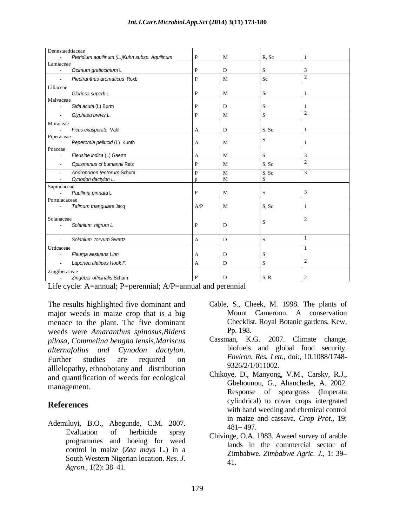| Dennstaedtiaceae                                     |     |                             |  |
|------------------------------------------------------|-----|-----------------------------|--|
| Pteridium aquilinum (L.)Kuhn subsp. Aquilinum        |     | R Sc                        |  |
| Lamiaceae                                            |     |                             |  |
| - Ocimum graticcimum L                               |     |                             |  |
| - Plectranthus aromaticus Roxb                       |     |                             |  |
| Liliaceae                                            |     |                             |  |
| - Gloriosa superb L                                  |     |                             |  |
| Malvaceae                                            |     |                             |  |
| - Sida acuta (L) Burm                                |     |                             |  |
| - Glyphaea brevis L.                                 |     |                             |  |
| Moraceae                                             |     |                             |  |
| - Ficus exasperate Vahl                              |     | $\mathcal{S}_{\mathcal{C}}$ |  |
| Piperaceae                                           |     |                             |  |
| - Peperomia pellucid (L) Kunth                       |     |                             |  |
| Poaceae<br>- Eleusine indica (L) Gaertn              |     |                             |  |
|                                                      |     |                             |  |
| Oplismenus cf bumannii Retz                          |     | . Sc                        |  |
| - Andropogon tectorum Schum<br>- Cynodon dactylon L. |     | S. Sc                       |  |
|                                                      |     |                             |  |
| Sapindaceae                                          |     |                             |  |
| - Paullinia pinnata L                                |     |                             |  |
| Portulacaceae                                        |     |                             |  |
| - Talinum triangulare Jacq                           | A/P |                             |  |
|                                                      |     |                             |  |
| Solanaceae                                           |     |                             |  |
| - Solanium nigrum L                                  |     |                             |  |
|                                                      |     |                             |  |
| - Solanium torvum Swartz                             |     |                             |  |
| Urticaceae                                           |     |                             |  |
| - Fleurga aestuans Linn                              |     |                             |  |
| - Laportea alatipes Hook F.                          |     |                             |  |
| Zingiberaceae                                        |     |                             |  |
| - Zingeber officinalis Schum                         |     |                             |  |

Life cycle: A=annual; P=perennial; A/P=annual and perennial

The results highlighted five dominant and Cable, S., Cheek, M. 1998. The plants of major weeds in maize crop that is a big menace to the plant. The five dominant weeds were *Amaranthus spinosus,Bidens pilosa, Commelina bengha lensis,Mariscus alternafolius and Cynodon dactylon*. biotuels and global tood security.<br>Further studies are required on *Environ Res. Lett.*, doi:, 10.1088/1748alllelopathy, ethnobotany and distribution and quantification of weeds for ecological

Ademiluyi, B.O., Abegunde, C.M. 2007. **181-197.** 481-497. Evaluation of herbicide spray<br>Chivinge, O.A. 1983. Aweed survey of arable programmes and hoeing for weed control in maize (*Zea mays* L.) in a South Western Nigerian location. *Res. J. Agron.*, 1(2): 38–41.

- Mount Cameroon. A conservation Checklist. Royal Botanic gardens, Kew, Pp. 198.
- Cassman, K.G. 2007. Climate change, biofuels and global food security. *Environ. Res. Lett.,* doi:, 10.1088/1748- 9326/2/1/011002.
- management. Gbehounou, G., Ahanchede, A. 2002. **References**<br>
with hand weeding and chemical control Chikoye, D., Manyong, V.M., Carsky, R.J., Response of speargrass (Imperata cylindrical) to cover crops intergrated in maize and cassava. *Crop Prot.,* 19:  $481 - 497.$ 
	- lands in the commercial sector of Zimbabwe. *Zimbabwe Agric. J.,* 1: 39 41.